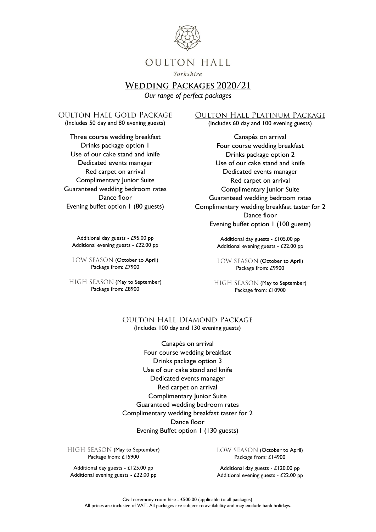

Yorkshire

# **WEDDING PACKAGES 2020/21**

*Our range of perfect packages*

#### **OULTON HALL GOLD PACKAGE**

(Includes 50 day and 80 evening guests)

Three course wedding breakfast Drinks package option 1 Use of our cake stand and knife Dedicated events manager Red carpet on arrival Complimentary Junior Suite Guaranteed wedding bedroom rates Dance floor Evening buffet option 1 (80 guests)

Additional day guests - £95.00 pp Additional evening guests - £22.00 pp

LOW SEASON (October to April) Package from: £7900

HIGH SEASON (May to September) Package from: £8900

**OULTON HALL PLATINUM PACKAGE** 

(Includes 60 day and 100 evening guests)

Canapés on arrival Four course wedding breakfast Drinks package option 2 Use of our cake stand and knife Dedicated events manager Red carpet on arrival Complimentary Junior Suite Guaranteed wedding bedroom rates Complimentary wedding breakfast taster for 2 Dance floor Evening buffet option 1 (100 guests)

> Additional day guests - £105.00 pp Additional evening guests - £22.00 pp

> LOW SEASON (October to April) Package from: £9900

HIGH SEASON (May to September) Package from: £10900

#### **OULTON HALL DIAMOND PACKAGE** (Includes 100 day and 130 evening guests)

Canapés on arrival Four course wedding breakfast Drinks package option 3 Use of our cake stand and knife Dedicated events manager Red carpet on arrival Complimentary Junior Suite Guaranteed wedding bedroom rates Complimentary wedding breakfast taster for 2 Dance floor Evening Buffet option 1 (130 guests)

HIGH SEASON (May to September) Package from: £15900

Additional day guests - £125.00 pp Additional evening guests - £22.00 pp LOW SEASON (October to April) Package from: £14900

Additional day guests - £120.00 pp Additional evening guests - £22.00 pp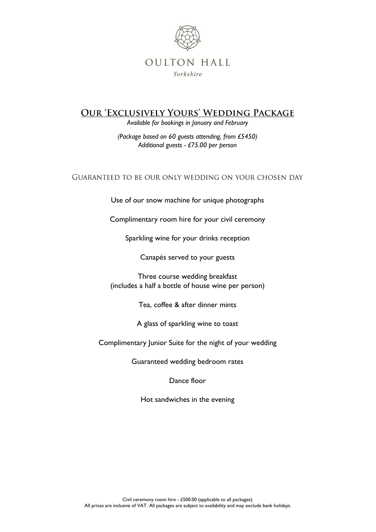

# **OUR 'EXCLUSIVELY YOURS' WEDDING PACKAGE**

*Available for bookings in January and February*

*(Package based on 60 guests attending, from £5450) Additional guests - £75.00 per person*

### GUARANTEED TO BE OUR ONLY WEDDING ON YOUR CHOSEN DAY

Use of our snow machine for unique photographs

Complimentary room hire for your civil ceremony

Sparkling wine for your drinks reception

Canapés served to your guests

Three course wedding breakfast (includes a half a bottle of house wine per person)

Tea, coffee & after dinner mints

A glass of sparkling wine to toast

Complimentary Junior Suite for the night of your wedding

Guaranteed wedding bedroom rates

Dance floor

Hot sandwiches in the evening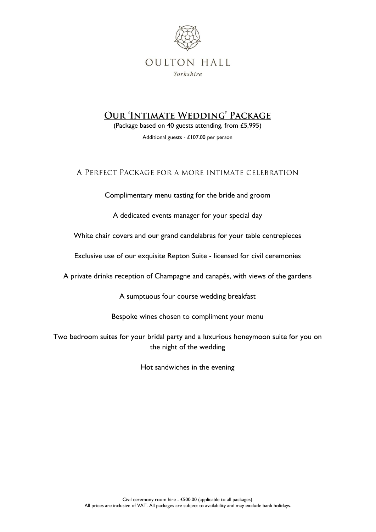

# **OUR 'INTIMATE WEDDING' PACKAGE**

(Package based on 40 guests attending, from £5,995) Additional guests - £107.00 per person

## A PERFECT PACKAGE FOR A MORE INTIMATE CELEBRATION

Complimentary menu tasting for the bride and groom

A dedicated events manager for your special day

White chair covers and our grand candelabras for your table centrepieces

Exclusive use of our exquisite Repton Suite - licensed for civil ceremonies

A private drinks reception of Champagne and canapés, with views of the gardens

A sumptuous four course wedding breakfast

Bespoke wines chosen to compliment your menu

Two bedroom suites for your bridal party and a luxurious honeymoon suite for you on the night of the wedding

Hot sandwiches in the evening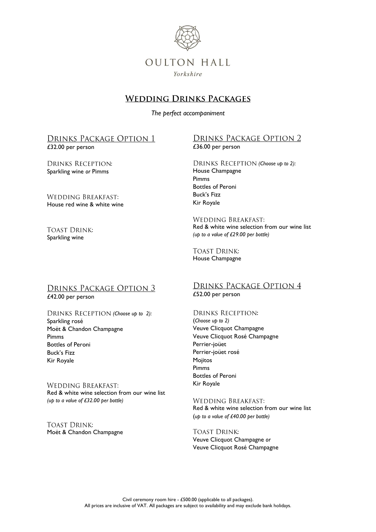

# **WEDDING DRINKS PACKAGES**

*The perfect accompaniment*

#### DRINKS PACKAGE OPTION 1 £32.00 per person

**DRINKS RECEPTION:** Sparkling wine *or* Pimms

#### **WEDDING BREAKFAST:** House red wine & white wine

#### **TOAST DRINK:** Sparkling wine

### DRINKS PACKAGE OPTION 2 £36.00 per person

*(Choose up to 2):* House Champagne Pimms Bottles of Peroni Buck's Fizz Kir Royale

**WEDDING BREAKFAST:** Red & white wine selection from our wine list *(up to a value of £29.00 per bottle)*

**TOAST DRINK:** House Champagne

# **DRINKS PACKAGE OPTION 3**

£42.00 per person

#### *(Choose up to 2):* Sparkling rosé Moët & Chandon Champagne Pimms Bottles of Peroni Buck's Fizz Kir Royale

**WEDDING BREAKFAST:** Red & white wine selection from our wine list *(up to a value of £32.00 per bottle)*

**TOAST DRINK:** Moët & Chandon Champagne

# **DRINKS PACKAGE OPTION 4**

£52.00 per person

### **DRINKS RECEPTION:**

(*Choose up to 2)* Veuve Clicquot Champagne Veuve Clicquot Rosé Champagne Perrier-joüet Perrier-joüet rosé **Mojitos** Pimms Bottles of Peroni Kir Royale

**WEDDING BREAKFAST:** Red & white wine selection from our wine list (*up to a value of £40.00 per bottle)*

**TOAST DRINK:** Veuve Clicquot Champagne *or* Veuve Clicquot Rosé Champagne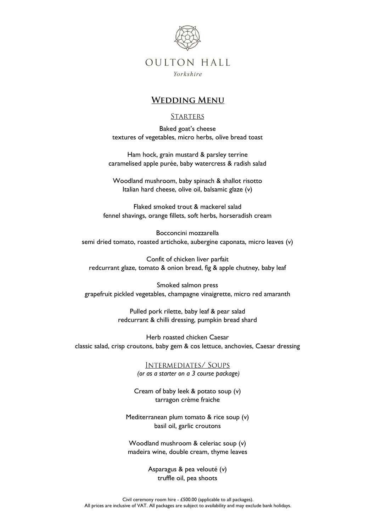

Yorkshire

## **WEDDING MENU**

### **STARTERS**

Baked goat's cheese textures of vegetables, micro herbs, olive bread toast

Ham hock, grain mustard & parsley terrine caramelised apple purée, baby watercress & radish salad

Woodland mushroom, baby spinach & shallot risotto Italian hard cheese, olive oil, balsamic glaze (v)

Flaked smoked trout & mackerel salad fennel shavings, orange fillets, soft herbs, horseradish cream

Bocconcini mozzarella semi dried tomato, roasted artichoke, aubergine caponata, micro leaves (v)

Confit of chicken liver parfait redcurrant glaze, tomato & onion bread, fig & apple chutney, baby leaf

Smoked salmon press grapefruit pickled vegetables, champagne vinaigrette, micro red amaranth

> Pulled pork rilette, baby leaf & pear salad redcurrant & chilli dressing, pumpkin bread shard

Herb roasted chicken Caesar classic salad, crisp croutons, baby gem & cos lettuce, anchovies, Caesar dressing

> **INTERMEDIATES/ SOUPS** *(or as a starter on a 3 course package)*

Cream of baby leek & potato soup (v) tarragon crème fraiche

Mediterranean plum tomato & rice soup (v) basil oil, garlic croutons

Woodland mushroom & celeriac soup (v) madeira wine, double cream, thyme leaves

> Asparagus & pea velouté (v) truffle oil, pea shoots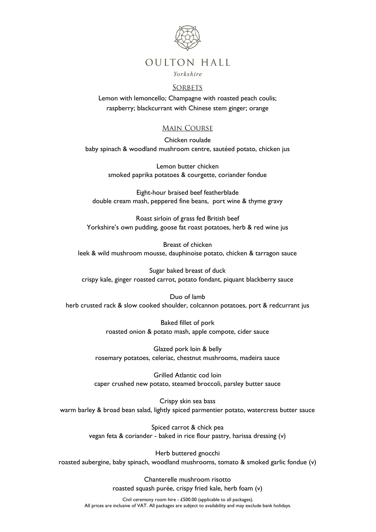

#### Yorkshire

#### **SORBETS**

Lemon with lemoncello; Champagne with roasted peach coulis; raspberry; blackcurrant with Chinese stem ginger; orange

### **MAIN COURSE**

Chicken roulade baby spinach & woodland mushroom centre, sautéed potato, chicken jus

> Lemon butter chicken smoked paprika potatoes & courgette, coriander fondue

Eight-hour braised beef featherblade double cream mash, peppered fine beans, port wine & thyme gravy

Roast sirloin of grass fed British beef Yorkshire's own pudding, goose fat roast potatoes, herb & red wine jus

Breast of chicken leek & wild mushroom mousse, dauphinoise potato, chicken & tarragon sauce

Sugar baked breast of duck crispy kale, ginger roasted carrot, potato fondant, piquant blackberry sauce

### Duo of lamb herb crusted rack & slow cooked shoulder, colcannon potatoes, port & redcurrant jus

Baked fillet of pork roasted onion & potato mash, apple compote, cider sauce

Glazed pork loin & belly rosemary potatoes, celeriac, chestnut mushrooms, madeira sauce

Grilled Atlantic cod loin caper crushed new potato, steamed broccoli, parsley butter sauce

Crispy skin sea bass warm barley & broad bean salad, lightly spiced parmentier potato, watercress butter sauce

> Spiced carrot & chick pea vegan feta & coriander - baked in rice flour pastry, harissa dressing (v)

Herb buttered gnocchi roasted aubergine, baby spinach, woodland mushrooms, tomato & smoked garlic fondue (v)

> Chanterelle mushroom risotto roasted squash purée, crispy fried kale, herb foam (v)

Civil ceremony room hire - £500.00 (applicable to all packages). All prices are inclusive of VAT. All packages are subject to availability and may exclude bank holidays.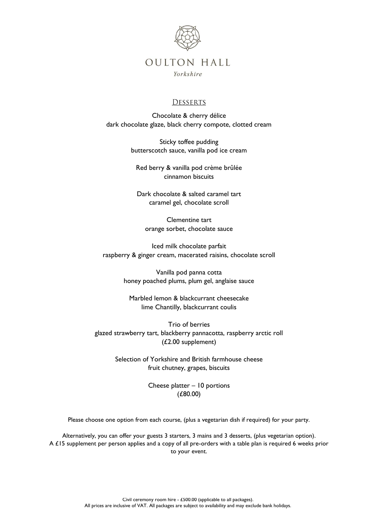

Yorkshire

### **DESSERTS**

Chocolate & cherry délice dark chocolate glaze, black cherry compote, clotted cream

> Sticky toffee pudding butterscotch sauce, vanilla pod ice cream

Red berry & vanilla pod crème brûlée cinnamon biscuits

Dark chocolate & salted caramel tart caramel gel, chocolate scroll

Clementine tart orange sorbet, chocolate sauce

Iced milk chocolate parfait raspberry & ginger cream, macerated raisins, chocolate scroll

> Vanilla pod panna cotta honey poached plums, plum gel, anglaise sauce

Marbled lemon & blackcurrant cheesecake lime Chantilly, blackcurrant coulis

Trio of berries glazed strawberry tart, blackberry pannacotta, raspberry arctic roll (£2.00 supplement)

> Selection of Yorkshire and British farmhouse cheese fruit chutney, grapes, biscuits

> > Cheese platter – 10 portions (£80.00)

Please choose one option from each course, (plus a vegetarian dish if required) for your party.

Alternatively, you can offer your guests 3 starters, 3 mains and 3 desserts, (plus vegetarian option). A £15 supplement per person applies and a copy of all pre-orders with a table plan is required 6 weeks prior to your event.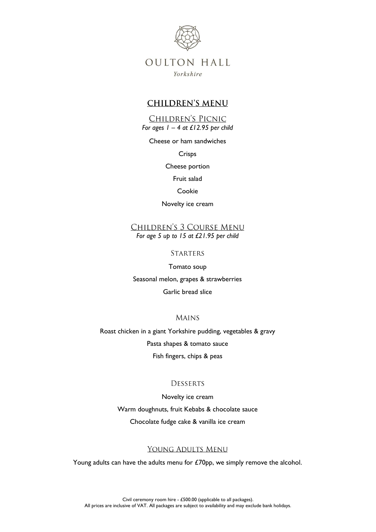

Yorkshire

### **CHILDREN'S MENU**

### CHILDREN'S PICNIC

*For ages 1 – 4 at £12.95 per child*

#### Cheese or ham sandwiches

Crisps

Cheese portion

Fruit salad

#### Cookie

Novelty ice cream

CHILDREN'S 3 COURSE MENU *For age 5 up to 15 at £21.95 per child*

**STARTERS** 

Tomato soup Seasonal melon, grapes & strawberries Garlic bread slice

**MAINS** 

Roast chicken in a giant Yorkshire pudding, vegetables & gravy Pasta shapes & tomato sauce Fish fingers, chips & peas

#### **DESSERTS**

Novelty ice cream Warm doughnuts, fruit Kebabs & chocolate sauce Chocolate fudge cake & vanilla ice cream

#### YOUNG ADULTS MENU

Young adults can have the adults menu for £70pp, we simply remove the alcohol.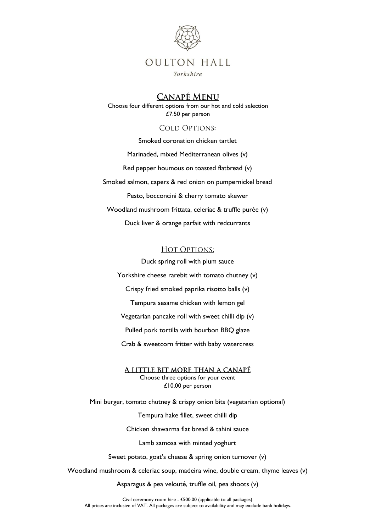

Yorkshire

## **CANAPÉ MENU**

Choose four different options from our hot and cold selection £7.50 per person

### **COLD OPTIONS:**

Smoked coronation chicken tartlet Marinaded, mixed Mediterranean olives (v) Red pepper houmous on toasted flatbread (v) Smoked salmon, capers & red onion on pumpernickel bread Pesto, bocconcini & cherry tomato skewer Woodland mushroom frittata, celeriac & truffle purée (v) Duck liver & orange parfait with redcurrants

### HOT OPTIONS:

Duck spring roll with plum sauce

Yorkshire cheese rarebit with tomato chutney (v)

Crispy fried smoked paprika risotto balls (v)

Tempura sesame chicken with lemon gel

Vegetarian pancake roll with sweet chilli dip (v)

Pulled pork tortilla with bourbon BBQ glaze

Crab & sweetcorn fritter with baby watercress

A LITTLE BIT MORE THAN A CANAPÉ Choose three options for your event £10.00 per person

Mini burger, tomato chutney & crispy onion bits (vegetarian optional)

Tempura hake fillet, sweet chilli dip

Chicken shawarma flat bread & tahini sauce

Lamb samosa with minted yoghurt

Sweet potato, goat's cheese & spring onion turnover (v)

Woodland mushroom & celeriac soup, madeira wine, double cream, thyme leaves (v)

Asparagus & pea velouté, truffle oil, pea shoots (v)